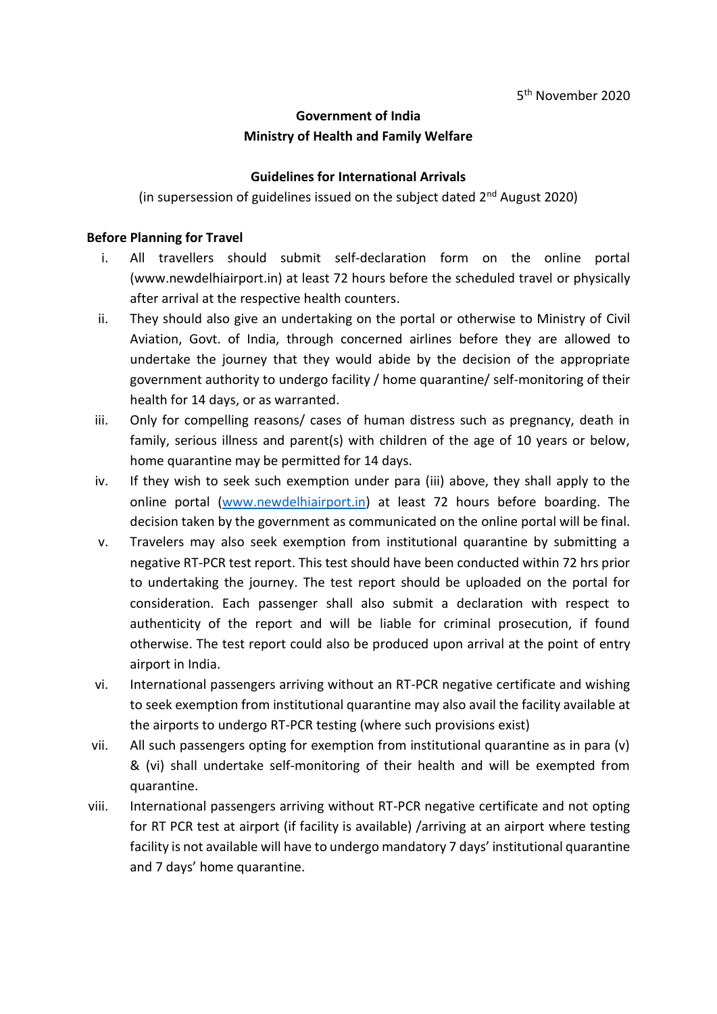# **Government of India Ministry of Health and Family Welfare**

## **Guidelines for International Arrivals**

(in supersession of guidelines issued on the subject dated  $2^{nd}$  August 2020)

#### **Before Planning for Travel**

- i. All travellers should submit self-declaration form on the online portal (www.newdelhiairport.in) at least 72 hours before the scheduled travel or physically after arrival at the respective health counters.
- ii. They should also give an undertaking on the portal or otherwise to Ministry of Civil Aviation, Govt. of India, through concerned airlines before they are allowed to undertake the journey that they would abide by the decision of the appropriate government authority to undergo facility / home quarantine/ self-monitoring of their health for 14 days, or as warranted.
- iii. Only for compelling reasons/ cases of human distress such as pregnancy, death in family, serious illness and parent(s) with children of the age of 10 years or below, home quarantine may be permitted for 14 days.
- iv. If they wish to seek such exemption under para (iii) above, they shall apply to the online portal [\(www.newdelhiairport.in\)](http://www.newdelhiairport.in/) at least 72 hours before boarding. The decision taken by the government as communicated on the online portal will be final.
- v. Travelers may also seek exemption from institutional quarantine by submitting a negative RT-PCR test report. This test should have been conducted within 72 hrs prior to undertaking the journey. The test report should be uploaded on the portal for consideration. Each passenger shall also submit a declaration with respect to authenticity of the report and will be liable for criminal prosecution, if found otherwise. The test report could also be produced upon arrival at the point of entry airport in India.
- vi. International passengers arriving without an RT-PCR negative certificate and wishing to seek exemption from institutional quarantine may also avail the facility available at the airports to undergo RT-PCR testing (where such provisions exist)
- vii. All such passengers opting for exemption from institutional quarantine as in para (v) & (vi) shall undertake self-monitoring of their health and will be exempted from quarantine.
- viii. International passengers arriving without RT-PCR negative certificate and not opting for RT PCR test at airport (if facility is available) /arriving at an airport where testing facility is not available will have to undergo mandatory 7 days' institutional quarantine and 7 days' home quarantine.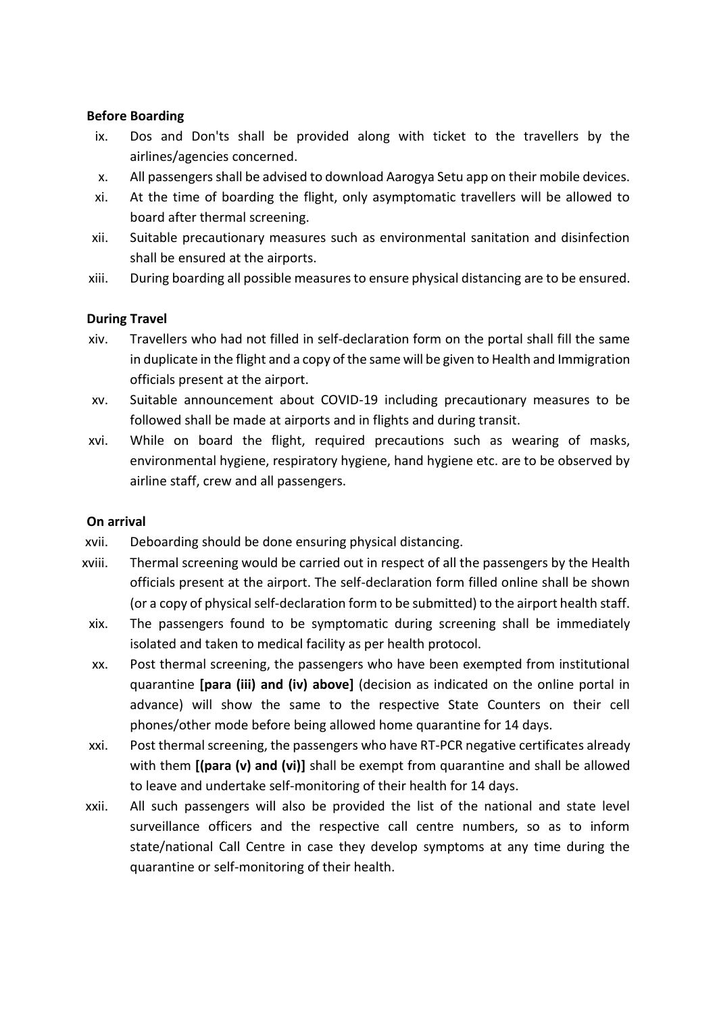## **Before Boarding**

- ix. Dos and Don'ts shall be provided along with ticket to the travellers by the airlines/agencies concerned.
- x. All passengers shall be advised to download Aarogya Setu app on their mobile devices.
- xi. At the time of boarding the flight, only asymptomatic travellers will be allowed to board after thermal screening.
- xii. Suitable precautionary measures such as environmental sanitation and disinfection shall be ensured at the airports.
- xiii. During boarding all possible measures to ensure physical distancing are to be ensured.

## **During Travel**

- xiv. Travellers who had not filled in self-declaration form on the portal shall fill the same in duplicate in the flight and a copy of the same will be given to Health and Immigration officials present at the airport.
- xv. Suitable announcement about COVID-19 including precautionary measures to be followed shall be made at airports and in flights and during transit.
- xvi. While on board the flight, required precautions such as wearing of masks, environmental hygiene, respiratory hygiene, hand hygiene etc. are to be observed by airline staff, crew and all passengers.

#### **On arrival**

- xvii. Deboarding should be done ensuring physical distancing.
- xviii. Thermal screening would be carried out in respect of all the passengers by the Health officials present at the airport. The self-declaration form filled online shall be shown (or a copy of physical self-declaration form to be submitted) to the airport health staff.
- xix. The passengers found to be symptomatic during screening shall be immediately isolated and taken to medical facility as per health protocol.
- xx. Post thermal screening, the passengers who have been exempted from institutional quarantine **[para (iii) and (iv) above]** (decision as indicated on the online portal in advance) will show the same to the respective State Counters on their cell phones/other mode before being allowed home quarantine for 14 days.
- xxi. Post thermal screening, the passengers who have RT-PCR negative certificates already with them **[(para (v) and (vi)]** shall be exempt from quarantine and shall be allowed to leave and undertake self-monitoring of their health for 14 days.
- xxii. All such passengers will also be provided the list of the national and state level surveillance officers and the respective call centre numbers, so as to inform state/national Call Centre in case they develop symptoms at any time during the quarantine or self-monitoring of their health.